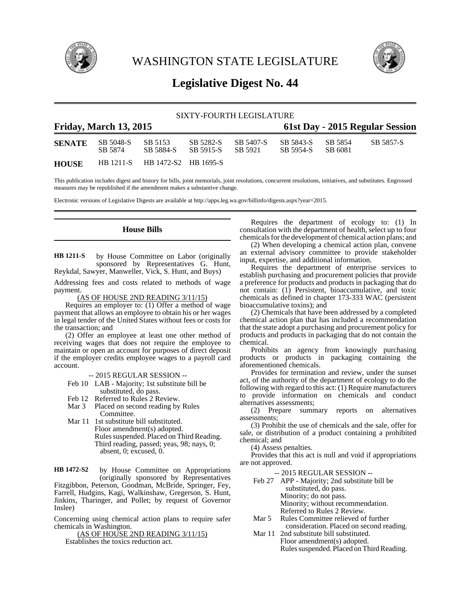

WASHINGTON STATE LEGISLATURE



# **Legislative Digest No. 44**

# SIXTY-FOURTH LEGISLATURE

| <b>Friday, March 13, 2015</b> |                      |                                |                        |                      | 61st Day - 2015 Regular Session |                    |           |  |
|-------------------------------|----------------------|--------------------------------|------------------------|----------------------|---------------------------------|--------------------|-----------|--|
| <b>SENATE</b>                 | SB 5048-S<br>SB 5874 | SB 5153<br>SB 5884-S           | SB 5282-S<br>SB 5915-S | SB 5407-S<br>SB 5921 | SB 5843-S<br>SB 5954-S          | SB 5854<br>SB 6081 | SB 5857-S |  |
| <b>HOUSE</b>                  |                      | HB 1211-S HB 1472-S2 HB 1695-S |                        |                      |                                 |                    |           |  |

This publication includes digest and history for bills, joint memorials, joint resolutions, concurrent resolutions, initiatives, and substitutes. Engrossed measures may be republished if the amendment makes a substantive change.

Electronic versions of Legislative Digests are available at http://apps.leg.wa.gov/billinfo/digests.aspx?year=2015.

**House Bills**

by House Committee on Labor (originally sponsored by Representatives G. Hunt, Reykdal, Sawyer, Manweller, Vick, S. Hunt, and Buys) **HB 1211-S**

Addressing fees and costs related to methods of wage payment.

(AS OF HOUSE 2ND READING 3/11/15)

Requires an employer to: (1) Offer a method of wage payment that allows an employee to obtain his or her wages in legal tender of the United States without fees or costs for the transaction; and

(2) Offer an employee at least one other method of receiving wages that does not require the employee to maintain or open an account for purposes of direct deposit if the employer credits employee wages to a payroll card account.

-- 2015 REGULAR SESSION --

- Feb 10 LAB Majority; 1st substitute bill be substituted, do pass.
- Feb 12 Referred to Rules 2 Review.
- Mar 3 Placed on second reading by Rules Committee.
- Mar 11 1st substitute bill substituted. Floor amendment(s) adopted. Rules suspended. Placed on Third Reading. Third reading, passed; yeas, 98; nays, 0; absent, 0; excused, 0.

by House Committee on Appropriations (originally sponsored by Representatives Fitzgibbon, Peterson, Goodman, McBride, Springer, Fey, Farrell, Hudgins, Kagi, Walkinshaw, Gregerson, S. Hunt, Jinkins, Tharinger, and Pollet; by request of Governor Inslee) **HB 1472-S2**

Concerning using chemical action plans to require safer chemicals in Washington.

(AS OF HOUSE 2ND READING 3/11/15) Establishes the toxics reduction act.

Requires the department of ecology to: (1) In consultation with the department of health, select up to four chemicals for the development of chemical action plans; and

(2) When developing a chemical action plan, convene an external advisory committee to provide stakeholder input, expertise, and additional information.

Requires the department of enterprise services to establish purchasing and procurement policies that provide a preference for products and products in packaging that do not contain: (1) Persistent, bioaccumulative, and toxic chemicals as defined in chapter 173-333 WAC (persistent bioaccumulative toxins); and

(2) Chemicals that have been addressed by a completed chemical action plan that has included a recommendation that the state adopt a purchasing and procurement policy for products and products in packaging that do not contain the chemical.

Prohibits an agency from knowingly purchasing products or products in packaging containing the aforementioned chemicals.

Provides for termination and review, under the sunset act, of the authority of the department of ecology to do the following with regard to this act: (1) Require manufacturers to provide information on chemicals and conduct alternatives assessments;

(2) Prepare summary reports on alternatives assessments;

(3) Prohibit the use of chemicals and the sale, offer for sale, or distribution of a product containing a prohibited chemical; and

(4) Assess penalties.

Provides that this act is null and void if appropriations are not approved.

-- 2015 REGULAR SESSION --

Feb 27 APP - Majority; 2nd substitute bill be substituted, do pass. Minority; do not pass. Minority; without recommendation.

Referred to Rules 2 Review.

- Mar 5 Rules Committee relieved of further
- consideration. Placed on second reading.
- Mar 11 2nd substitute bill substituted. Floor amendment(s) adopted. Rules suspended. Placed on Third Reading.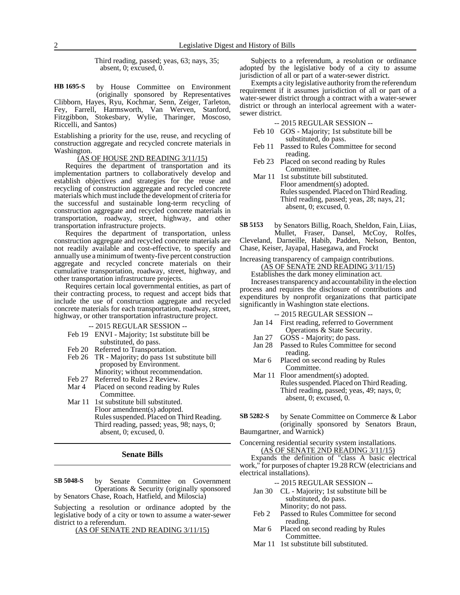Third reading, passed; yeas, 63; nays, 35; absent, 0; excused, 0.

by House Committee on Environment (originally sponsored by Representatives Clibborn, Hayes, Ryu, Kochmar, Senn, Zeiger, Tarleton, Fey, Farrell, Harmsworth, Van Werven, Stanford, Fitzgibbon, Stokesbary, Wylie, Tharinger, Moscoso, Riccelli, and Santos) **HB 1695-S**

Establishing a priority for the use, reuse, and recycling of construction aggregate and recycled concrete materials in Washington.

### (AS OF HOUSE 2ND READING 3/11/15)

Requires the department of transportation and its implementation partners to collaboratively develop and establish objectives and strategies for the reuse and recycling of construction aggregate and recycled concrete materials which must include the development of criteria for the successful and sustainable long-term recycling of construction aggregate and recycled concrete materials in transportation, roadway, street, highway, and other transportation infrastructure projects.

Requires the department of transportation, unless construction aggregate and recycled concrete materials are not readily available and cost-effective, to specify and annually use a minimum of twenty-five percent construction aggregate and recycled concrete materials on their cumulative transportation, roadway, street, highway, and other transportation infrastructure projects.

Requires certain local governmental entities, as part of their contracting process, to request and accept bids that include the use of construction aggregate and recycled concrete materials for each transportation, roadway, street, highway, or other transportation infrastructure project.

-- 2015 REGULAR SESSION --

- Feb 19 ENVI Majority; 1st substitute bill be substituted, do pass.
- Feb 20 Referred to Transportation.
- Feb 26 TR Majority; do pass 1st substitute bill proposed by Environment. Minority; without recommendation.
- Feb 27 Referred to Rules 2 Review.
- Mar 4 Placed on second reading by Rules Committee.
- Mar 11 1st substitute bill substituted. Floor amendment(s) adopted. Rules suspended. Placed on Third Reading. Third reading, passed; yeas, 98; nays, 0; absent, 0; excused, 0.

### **Senate Bills**

by Senate Committee on Government Operations & Security (originally sponsored by Senators Chase, Roach, Hatfield, and Miloscia) **SB 5048-S**

Subjecting a resolution or ordinance adopted by the legislative body of a city or town to assume a water-sewer district to a referendum.

(AS OF SENATE 2ND READING 3/11/15)

Subjects to a referendum, a resolution or ordinance adopted by the legislative body of a city to assume jurisdiction of all or part of a water-sewer district.

Exempts a city legislative authority from the referendum requirement if it assumes jurisdiction of all or part of a water-sewer district through a contract with a water-sewer district or through an interlocal agreement with a watersewer district.

-- 2015 REGULAR SESSION --

- Feb 10 GOS Majority; 1st substitute bill be substituted, do pass.
- Feb 11 Passed to Rules Committee for second reading.
- Feb 23 Placed on second reading by Rules Committee.
- Mar 11 1st substitute bill substituted. Floor amendment(s) adopted. Rules suspended. Placed on Third Reading. Third reading, passed; yeas, 28; nays, 21; absent, 0; excused, 0.

by Senators Billig, Roach, Sheldon, Fain, Liias, Mullet, Fraser, Dansel, McCoy, Rolfes, Cleveland, Darneille, Habib, Padden, Nelson, Benton, Chase, Keiser, Jayapal, Hasegawa, and Frockt **SB 5153**

Increasing transparency of campaign contributions. (AS OF SENATE 2ND READING 3/11/15)

Establishes the dark money elimination act.

Increases transparency and accountability in the election process and requires the disclosure of contributions and expenditures by nonprofit organizations that participate significantly in Washington state elections.

-- 2015 REGULAR SESSION --

- Jan 14 First reading, referred to Government Operations & State Security.
- Jan 27 GOSS Majority; do pass.
- Jan 28 Passed to Rules Committee for second reading.
- Mar 6 Placed on second reading by Rules Committee.
- Mar 11 Floor amendment(s) adopted. Rules suspended. Placed on Third Reading. Third reading, passed; yeas, 49; nays, 0; absent, 0; excused, 0.

by Senate Committee on Commerce & Labor (originally sponsored by Senators Braun, Baumgartner, and Warnick) **SB 5282-S**

Concerning residential security system installations. (AS OF SENATE 2ND READING 3/11/15)

Expands the definition of "class A basic electrical work," for purposes of chapter 19.28 RCW (electricians and electrical installations).

-- 2015 REGULAR SESSION --

- Jan 30 CL Majority; 1st substitute bill be substituted, do pass. Minority; do not pass.
- Feb 2 Passed to Rules Committee for second reading.
- Mar 6 Placed on second reading by Rules Committee.
- Mar 11 1st substitute bill substituted.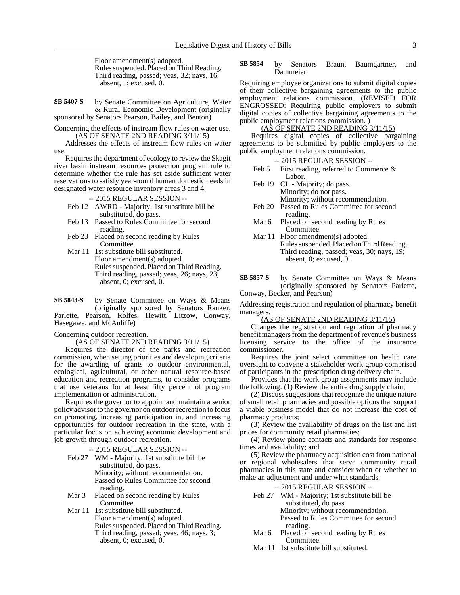Floor amendment(s) adopted. Rules suspended. Placed on Third Reading. Third reading, passed; yeas, 32; nays, 16; absent, 1; excused, 0.

by Senate Committee on Agriculture, Water & Rural Economic Development (originally sponsored by Senators Pearson, Bailey, and Benton) **SB 5407-S**

Concerning the effects of instream flow rules on water use. (AS OF SENATE 2ND READING 3/11/15)

Addresses the effects of instream flow rules on water use.

Requires the department of ecology to review the Skagit river basin instream resources protection program rule to determine whether the rule has set aside sufficient water reservations to satisfy year-round human domestic needs in designated water resource inventory areas 3 and 4.

### -- 2015 REGULAR SESSION --

- Feb 12 AWRD Majority; 1st substitute bill be substituted, do pass.
- Feb 13 Passed to Rules Committee for second reading.
- Feb 23 Placed on second reading by Rules Committee.
- Mar 11 1st substitute bill substituted. Floor amendment(s) adopted. Rules suspended. Placed on Third Reading. Third reading, passed; yeas, 26; nays, 23; absent, 0; excused, 0.

by Senate Committee on Ways & Means (originally sponsored by Senators Ranker, Parlette, Pearson, Rolfes, Hewitt, Litzow, Conway, Hasegawa, and McAuliffe) **SB 5843-S**

Concerning outdoor recreation.

# (AS OF SENATE 2ND READING 3/11/15)

Requires the director of the parks and recreation commission, when setting priorities and developing criteria for the awarding of grants to outdoor environmental, ecological, agricultural, or other natural resource-based education and recreation programs, to consider programs that use veterans for at least fifty percent of program implementation or administration.

Requires the governor to appoint and maintain a senior policy advisor to the governor on outdoor recreation to focus on promoting, increasing participation in, and increasing opportunities for outdoor recreation in the state, with a particular focus on achieving economic development and job growth through outdoor recreation.

-- 2015 REGULAR SESSION --

- Feb 27 WM Majority; 1st substitute bill be substituted, do pass. Minority; without recommendation. Passed to Rules Committee for second reading.
- Mar 3 Placed on second reading by Rules Committee.
- Mar 11 1st substitute bill substituted. Floor amendment(s) adopted. Rules suspended. Placed on Third Reading. Third reading, passed; yeas, 46; nays, 3; absent, 0; excused, 0.

#### by Senators Braun, Baumgartner, and Dammeier **SB 5854**

Requiring employee organizations to submit digital copies of their collective bargaining agreements to the public employment relations commission. (REVISED FOR ENGROSSED: Requiring public employers to submit digital copies of collective bargaining agreements to the public employment relations commission. )

# (AS OF SENATE 2ND READING 3/11/15)

Requires digital copies of collective bargaining agreements to be submitted by public employers to the public employment relations commission.

-- 2015 REGULAR SESSION --

- Feb 5 First reading, referred to Commerce & Labor.
- Feb 19 CL Majority; do pass. Minority; do not pass. Minority; without recommendation.
- Feb 20 Passed to Rules Committee for second reading.
- Mar 6 Placed on second reading by Rules Committee.
- Mar 11 Floor amendment(s) adopted. Rules suspended. Placed on Third Reading. Third reading, passed; yeas, 30; nays, 19; absent, 0; excused, 0.
- by Senate Committee on Ways & Means (originally sponsored by Senators Parlette, Conway, Becker, and Pearson) **SB 5857-S**

Addressing registration and regulation of pharmacy benefit managers.

(AS OF SENATE 2ND READING 3/11/15)

Changes the registration and regulation of pharmacy benefit managers from the department of revenue's business licensing service to the office of the insurance commissioner.

Requires the joint select committee on health care oversight to convene a stakeholder work group comprised of participants in the prescription drug delivery chain.

Provides that the work group assignments may include the following: (1) Review the entire drug supply chain;

(2) Discuss suggestions that recognize the unique nature of small retail pharmacies and possible options that support a viable business model that do not increase the cost of pharmacy products;

(3) Review the availability of drugs on the list and list prices for community retail pharmacies;

(4) Review phone contacts and standards for response times and availability; and

(5) Review the pharmacy acquisition cost from national or regional wholesalers that serve community retail pharmacies in this state and consider when or whether to make an adjustment and under what standards.

### -- 2015 REGULAR SESSION --

- Feb 27 WM Majority; 1st substitute bill be substituted, do pass. Minority; without recommendation. Passed to Rules Committee for second reading.
- Mar 6 Placed on second reading by Rules Committee.
- Mar 11 1st substitute bill substituted.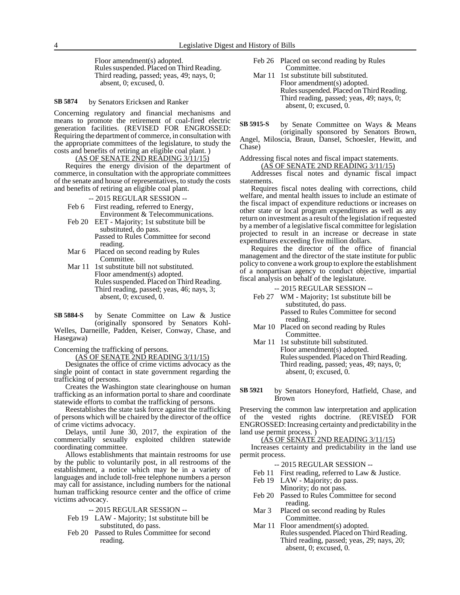Floor amendment(s) adopted. Rules suspended. Placed on Third Reading. Third reading, passed; yeas, 49; nays, 0; absent, 0; excused, 0.

by Senators Ericksen and Ranker **SB 5874**

Concerning regulatory and financial mechanisms and means to promote the retirement of coal-fired electric generation facilities. (REVISED FOR ENGROSSED: Requiring the department of commerce, in consultation with the appropriate committees of the legislature, to study the costs and benefits of retiring an eligible coal plant. )

## (AS OF SENATE 2ND READING 3/11/15)

Requires the energy division of the department of commerce, in consultation with the appropriate committees of the senate and house of representatives, to study the costs and benefits of retiring an eligible coal plant.

### -- 2015 REGULAR SESSION --

Feb 6 First reading, referred to Energy, Environment & Telecommunications.

- Feb 20 EET Majority; 1st substitute bill be substituted, do pass. Passed to Rules Committee for second reading.
- Mar 6 Placed on second reading by Rules Committee.
- Mar 11 1st substitute bill not substituted. Floor amendment(s) adopted. Rules suspended. Placed on Third Reading. Third reading, passed; yeas, 46; nays, 3; absent, 0; excused, 0.

by Senate Committee on Law & Justice (originally sponsored by Senators Kohl-Welles, Darneille, Padden, Keiser, Conway, Chase, and **SB 5884-S**

Hasegawa)

Concerning the trafficking of persons.

(AS OF SENATE 2ND READING 3/11/15)

Designates the office of crime victims advocacy as the single point of contact in state government regarding the trafficking of persons.

Creates the Washington state clearinghouse on human trafficking as an information portal to share and coordinate statewide efforts to combat the trafficking of persons.

Reestablishes the state task force against the trafficking of persons which will be chaired by the director of the office of crime victims advocacy.

Delays, until June 30, 2017, the expiration of the commercially sexually exploited children statewide coordinating committee.

Allows establishments that maintain restrooms for use by the public to voluntarily post, in all restrooms of the establishment, a notice which may be in a variety of languages and include toll-free telephone numbers a person may call for assistance, including numbers for the national human trafficking resource center and the office of crime victims advocacy.

-- 2015 REGULAR SESSION --

- Feb 19 LAW Majority; 1st substitute bill be substituted, do pass.
- Feb 20 Passed to Rules Committee for second reading.
- Feb 26 Placed on second reading by Rules Committee.
- Mar 11 1st substitute bill substituted. Floor amendment(s) adopted. Rules suspended. Placed on Third Reading. Third reading, passed; yeas, 49; nays, 0; absent, 0; excused, 0.

by Senate Committee on Ways & Means (originally sponsored by Senators Brown, Angel, Miloscia, Braun, Dansel, Schoesler, Hewitt, and Chase) **SB 5915-S**

Addressing fiscal notes and fiscal impact statements.

(AS OF SENATE 2ND READING 3/11/15)

Addresses fiscal notes and dynamic fiscal impact statements.

Requires fiscal notes dealing with corrections, child welfare, and mental health issues to include an estimate of the fiscal impact of expenditure reductions or increases on other state or local program expenditures as well as any return on investment as a result of the legislation if requested by a member of a legislative fiscal committee for legislation projected to result in an increase or decrease in state expenditures exceeding five million dollars.

Requires the director of the office of financial management and the director of the state institute for public policy to convene a work group to explore the establishment of a nonpartisan agency to conduct objective, impartial fiscal analysis on behalf of the legislature.

-- 2015 REGULAR SESSION --

- Feb 27 WM Majority; 1st substitute bill be substituted, do pass. Passed to Rules Committee for second reading.
- Mar 10 Placed on second reading by Rules Committee.
- Mar 11 1st substitute bill substituted. Floor amendment(s) adopted. Rules suspended. Placed on Third Reading. Third reading, passed; yeas, 49; nays, 0; absent, 0; excused, 0.
- by Senators Honeyford, Hatfield, Chase, and Brown **SB 5921**

Preserving the common law interpretation and application of the vested rights doctrine. (REVISED FOR ENGROSSED: Increasing certainty and predictability in the land use permit process. )

# (AS OF SENATE 2ND READING 3/11/15)

Increases certainty and predictability in the land use permit process.

- -- 2015 REGULAR SESSION --
- Feb 11 First reading, referred to Law & Justice.
- Feb 19 LAW Majority; do pass. Minority; do not pass.
- Feb 20 Passed to Rules Committee for second reading.
- Mar 3 Placed on second reading by Rules Committee.
- Mar 11 Floor amendment(s) adopted. Rules suspended. Placed on Third Reading. Third reading, passed; yeas, 29; nays, 20; absent, 0; excused, 0.